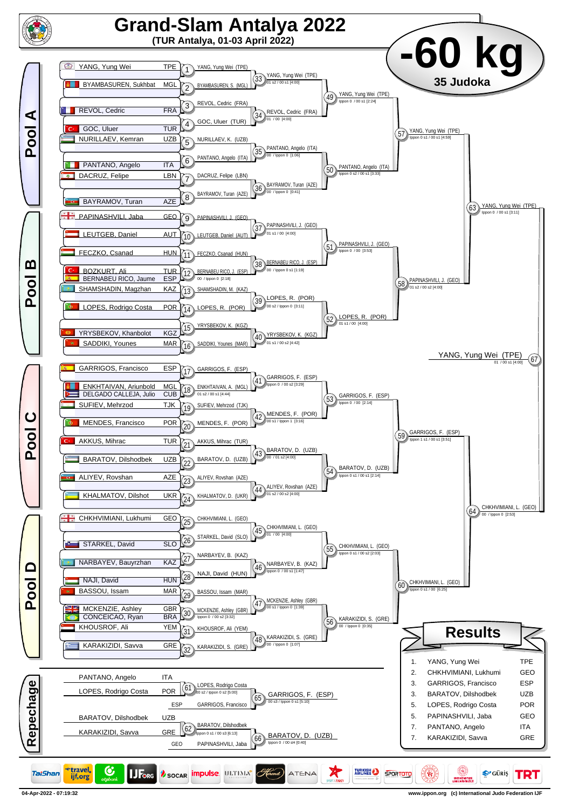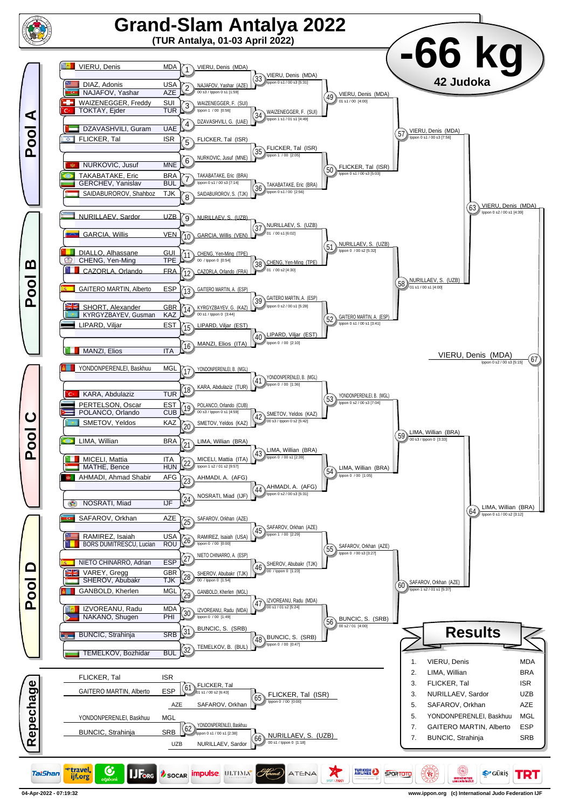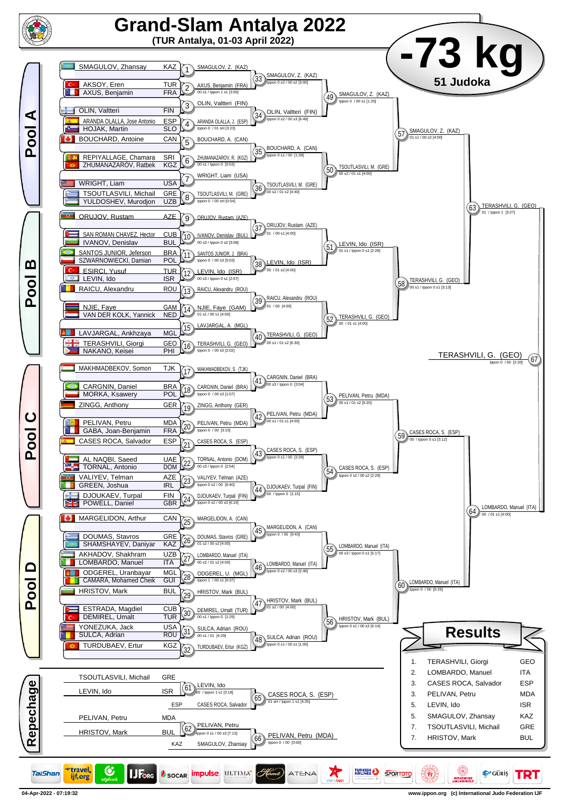

**04-Apr-2022 - 07:19:32 www.ippon.org (c) International Judo Federation IJF**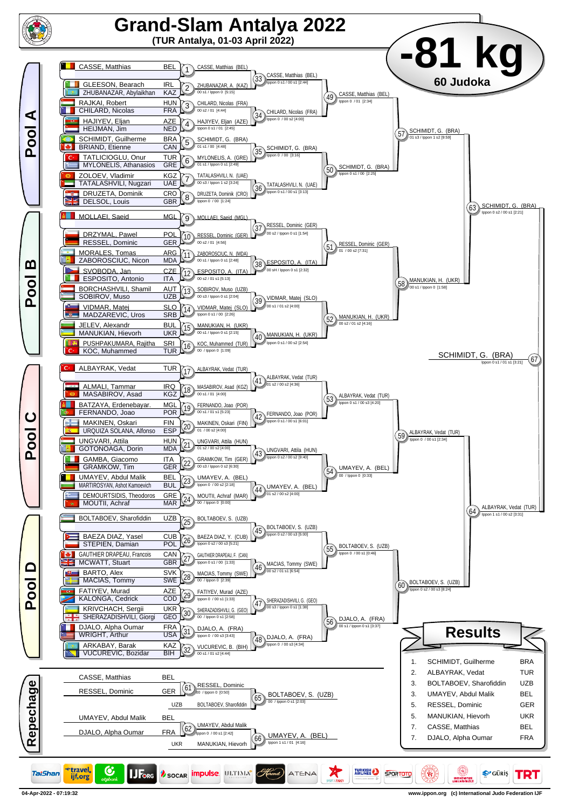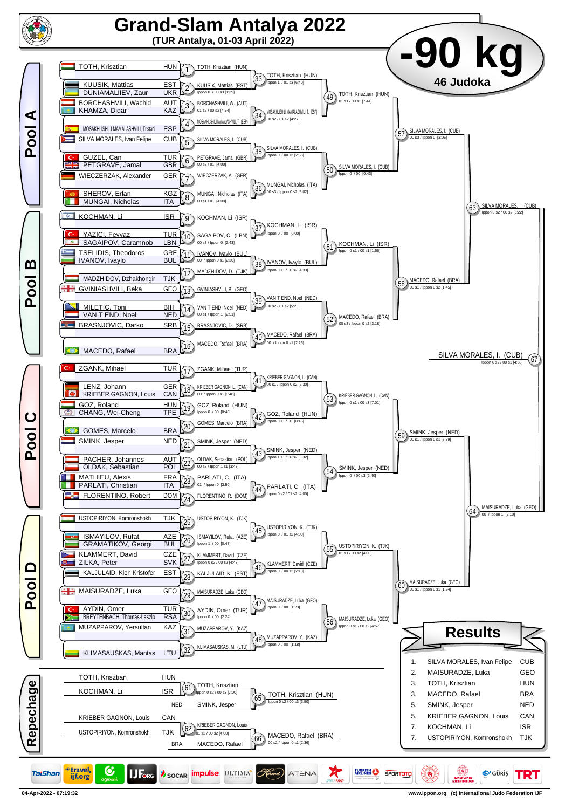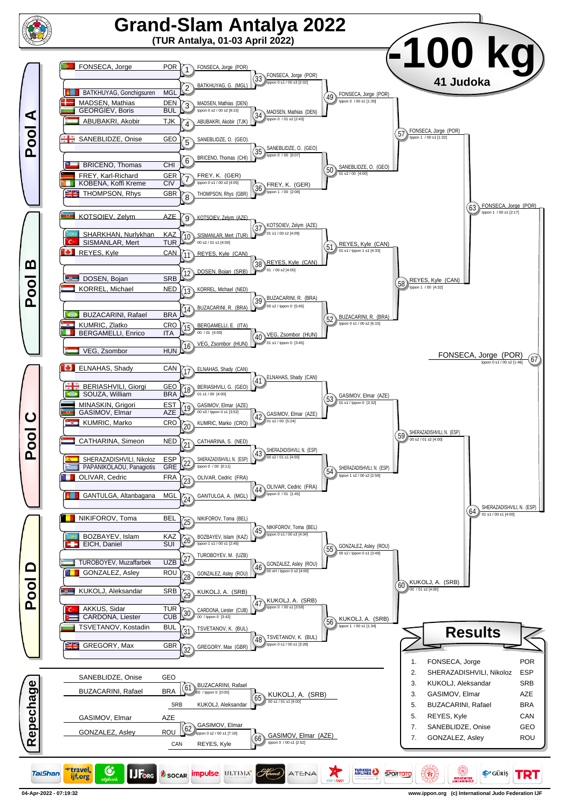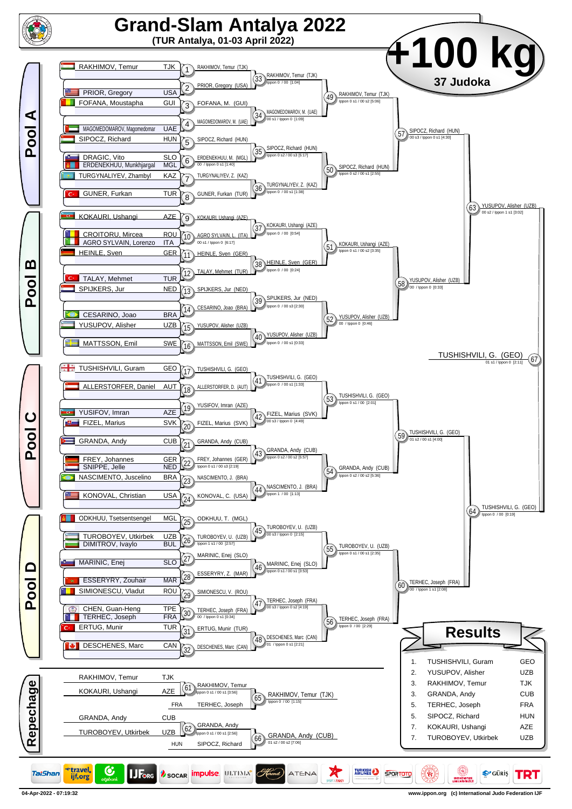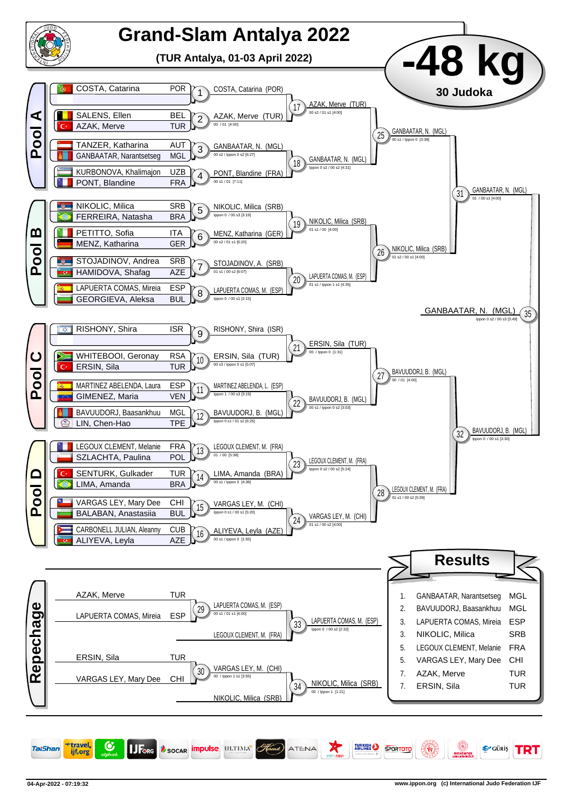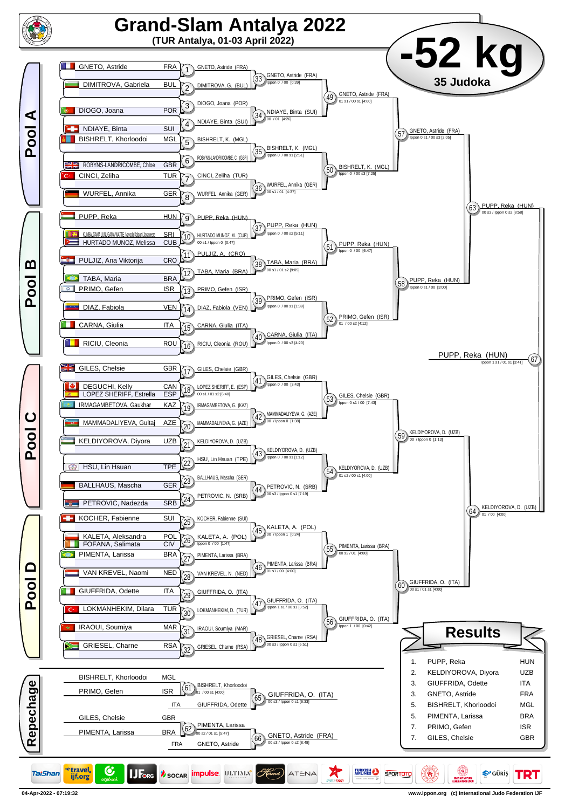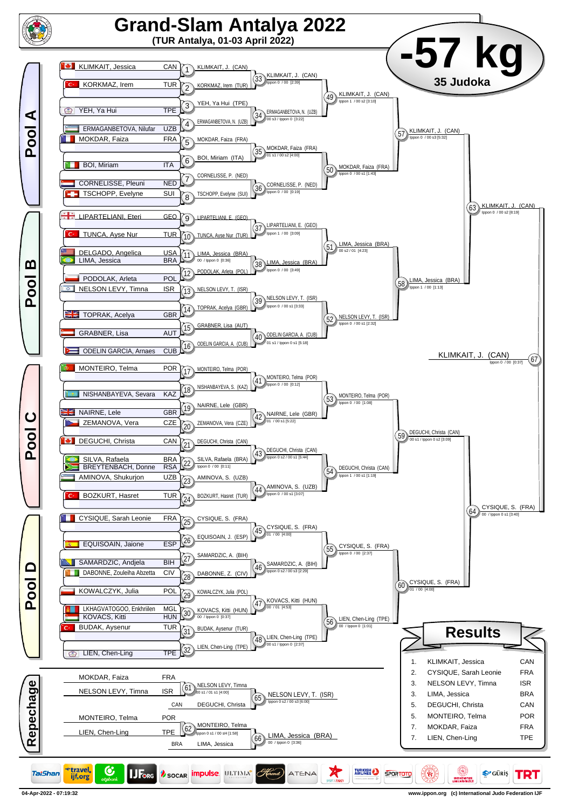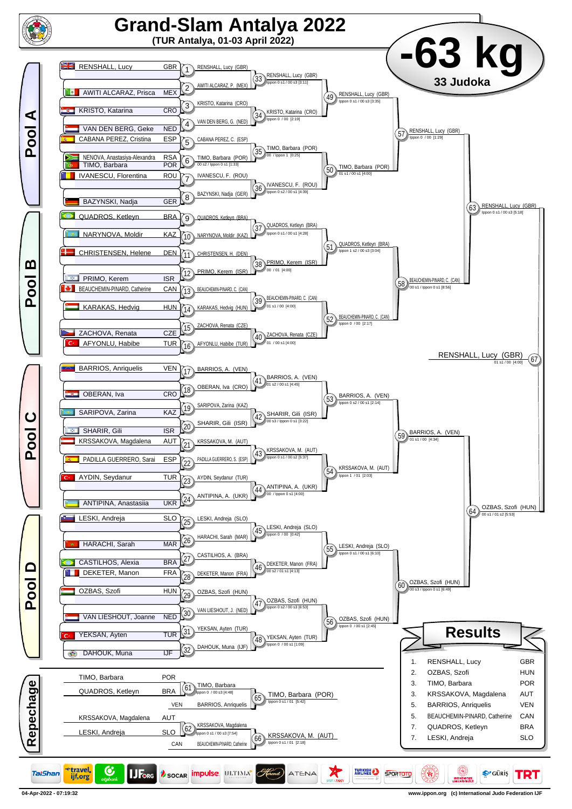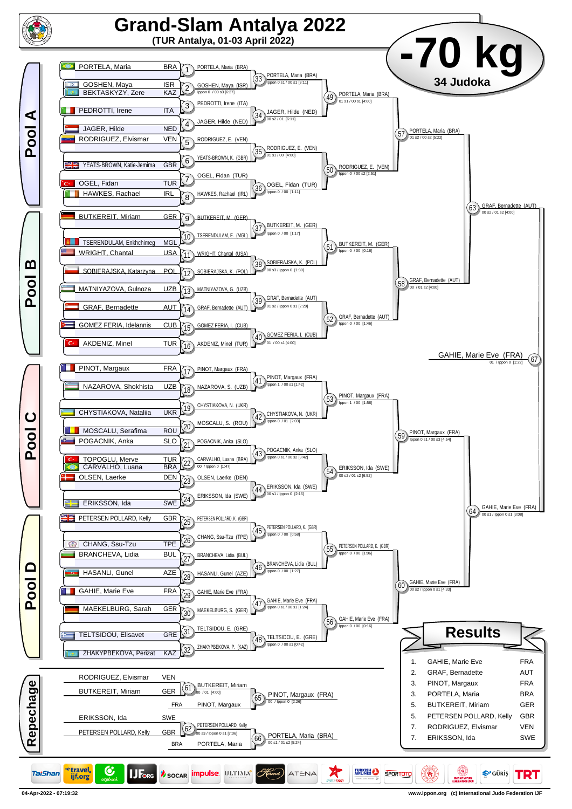

**04-Apr-2022 - 07:19:32 www.ippon.org (c) International Judo Federation IJF**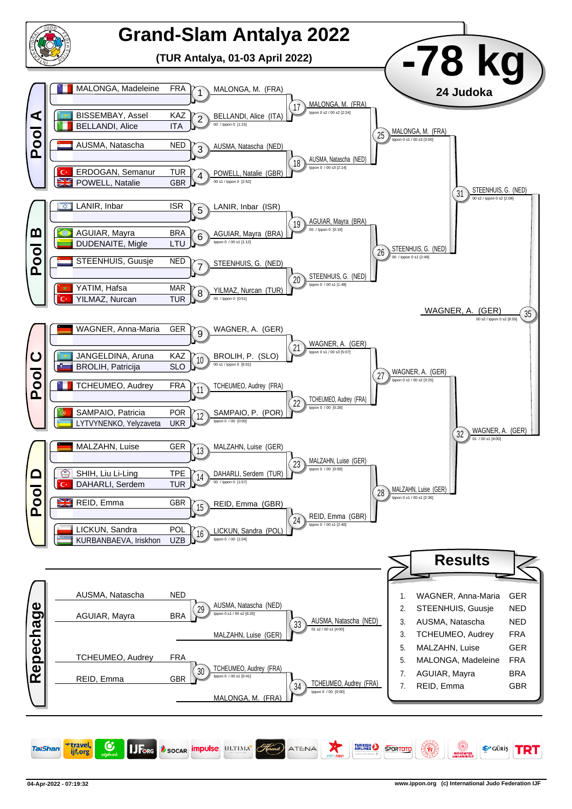